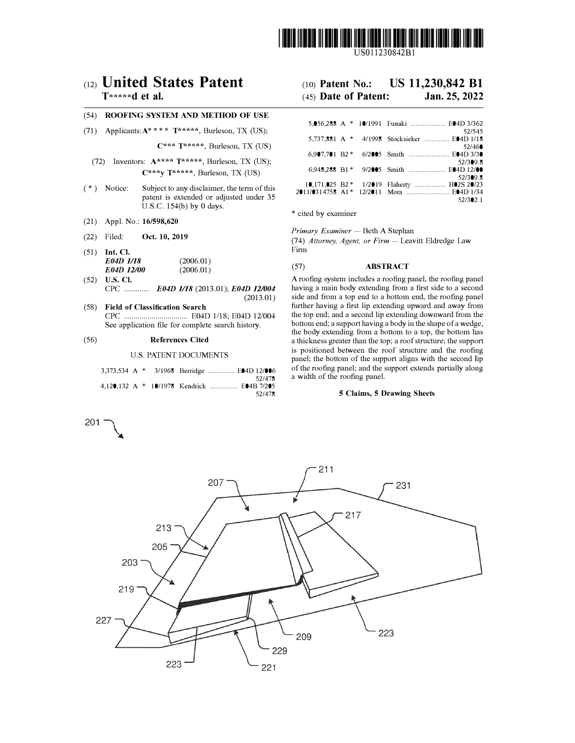

US011230842Bl

# **c12) United States Patent**

## **T\*\*\*\*\*d et al.**

## (54) **ROOFING SYSTEM AND METHOD OF USE**

(71) Applicants:A\*\*\*\* **T\*\*\*\*\*,** Burleson, TX (US);

 $C^{***}$  **T\*\*\*\*\***, Burleson, TX (US)

- (72) Inventors: **A\*\*\*\* T\*\*\*\*\*,** Burleson, TX (US); **C\*\*\*y T\*\*\*\*\*,** Burleson, TX (US)
- ( \*) Notice: Subject to any disclaimer, the term of this patent is extended or adjusted under 35 U.S.C. 154(b) by O days.
- (21) Appl. No.: **16/598,620**
- **(22)**  Filed: **Oct. 10, 2019**
- (51) **Int. Cl.**  *E04D 1118 E04D 12100*  (2006.01) (2006.01)
- (52) **U.S. Cl.** CPC ............. *E04D 1118* (2013.01); *E04D 121004* (2013.01)
- ( 58) **Field of Classification Search** CPC ................................ E04D 1/18; E04D 12/004 See application file for complete search history.

## (56) **References Cited**

201 �

U.S. PATENT DOCUMENTS

|  |  | 3,373,534 A * 3/1968 Berridge  E04D 12/006 |        |
|--|--|--------------------------------------------|--------|
|  |  |                                            | 52/478 |
|  |  | 4,120,132 A * 10/1978 Kendrick  E04B 7/205 |        |
|  |  |                                            | 52/478 |

#### (10) **Patent No.: US 11,230,842 Bl**

#### (45) **Date of Patent: Jan.25,2022**

|  | 5,056,288 A * 10/1991 Funaki  E04D 3/362                                                |
|--|-----------------------------------------------------------------------------------------|
|  | 52/545<br>5,737,881 A * 4/1998 Stocksieker  E04D 1/18                                   |
|  | 52/460<br>6.907,701 B2 * 6/2005 Smith  E04D 3/30                                        |
|  | 52/309.8                                                                                |
|  | 6.948.288 B1* 9/2005 Smith  E04D 12/00<br>52/309.8                                      |
|  | 10,171,025 B2 * 1/2019 Flaherty  H02S 20/23<br>2011/0314758 A1* 12/2011 Mora  E04D 1/34 |
|  | 52/302.1                                                                                |

\* cited by examiner

*Primary Examiner* - Beth A Stephan

(74) Attorney, Agent, or Firm - Leavitt Eldredge Law Firm

## (57) **ABSTRACT**

A roofing system includes a roofing panel, the roofing panel having a main body extending from a first side to a second side and from a top end to a bottom end, the roofing panel further having a first lip extending upward and away from the top end; and a second lip extending downward from the bottom end; a support having a body in the shape of a wedge, the body extending from a bottom to a top, the bottom has a thickness greater than the top; a roof structure; the support is positioned between the roof structure and the roofing panel; the bottom of the support aligns with the second lip of the roofing panel; and the support extends partially along a width of the roofing panel.

#### **5 Claims, 5 Drawing Sheets**

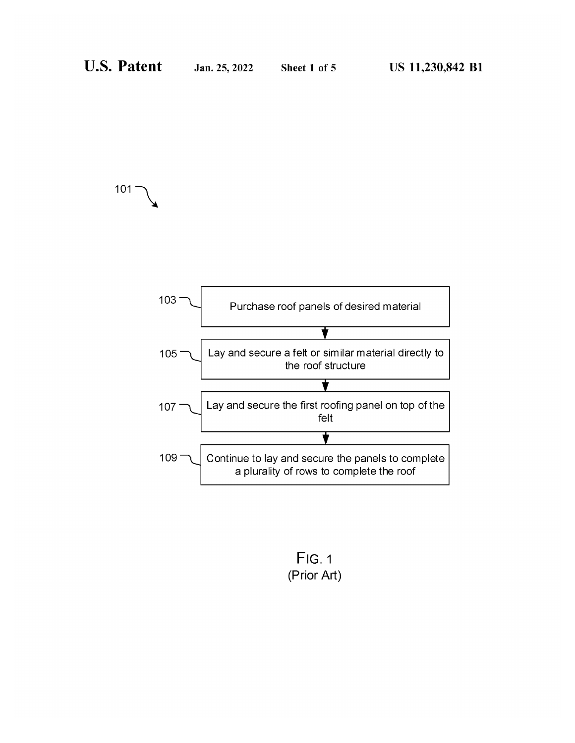$101<sup>2</sup>$ 



 $Fig. 1$ (Prior Art)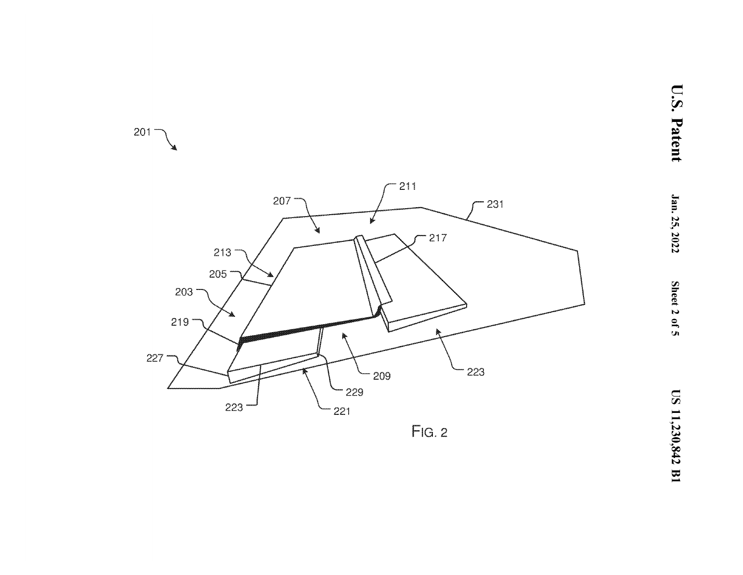

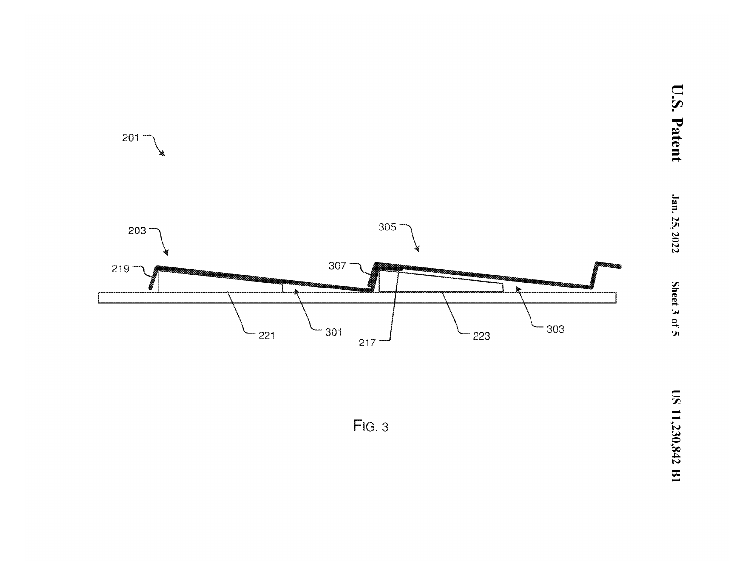

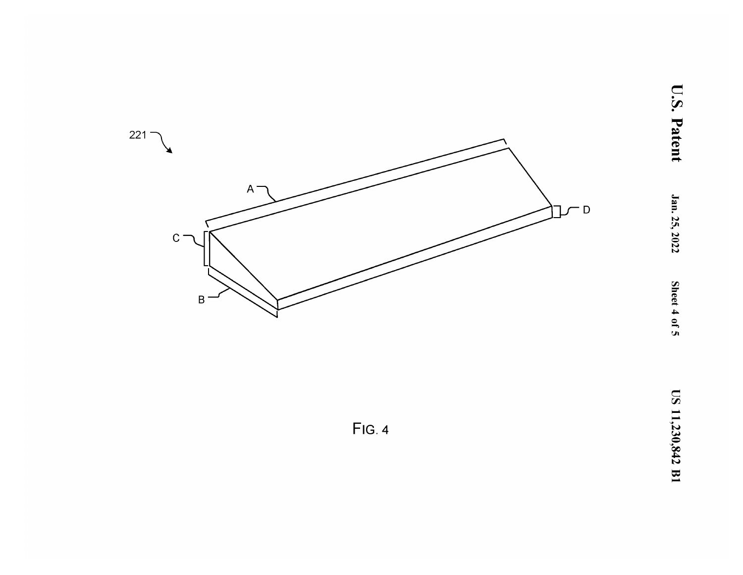

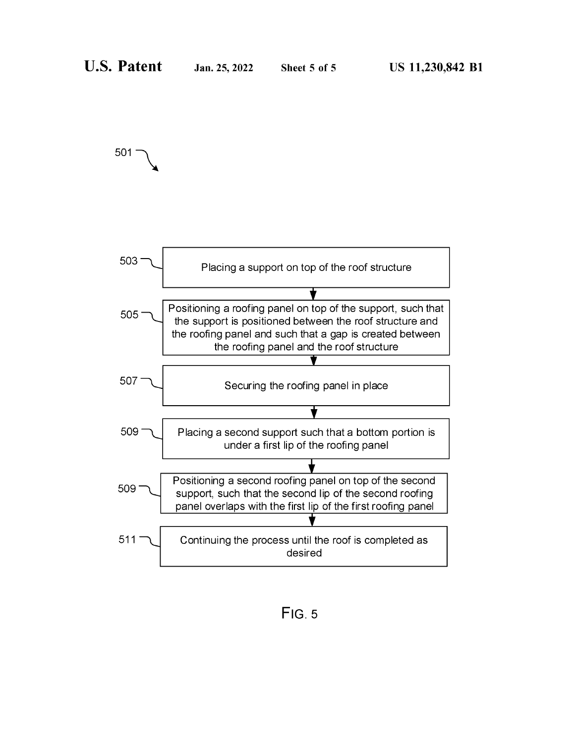501

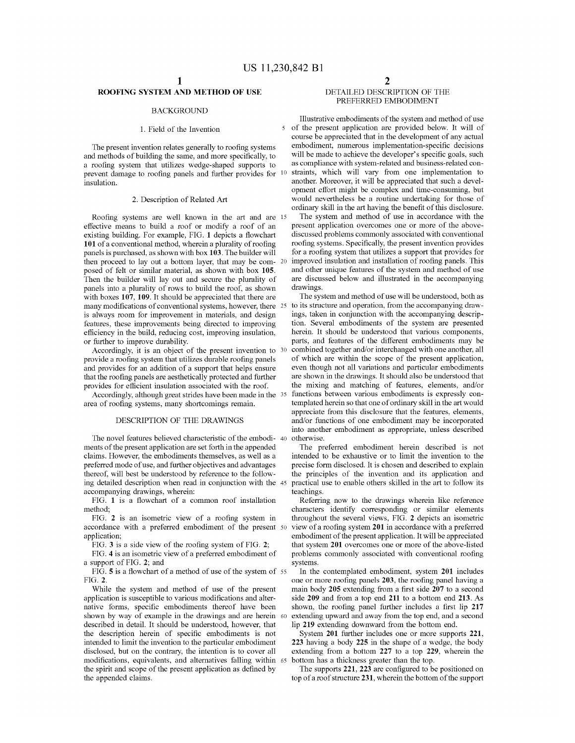$\overline{\phantom{a}}$ 

## ROOFING SYSTEM AND METHOD OF USE

## **BACKGROUND**

## 1. Field of the Invention

The present invention relates generally to roofing systems and methods of building the same, and more specifically, to a roofing system that utilizes wedge-shaped supports to prevent damage to roofing panels and further provides for 10 insulation.

## 2. Description of Related Art

Roofing systems are well known in the art and are 15 effective means to build a roof or modify a roof of an existing building. For example, FIG. 1 depicts a flowchart 101 of a conventional method, wherein a plurality of roofing panels is purchased, as shown with box  $103$ . The builder will then proceed to lay out a bottom layer, that may be com- 20 posed of felt or similar material, as shown with box 105. Then the builder will lay out and secure the plurality of panels into a plurality of rows to build the roof, as shown with boxes 107, 109. It should be appreciated that there are many modifications of conventional systems, however, there 25 is always room for improvement in materials, and design features, these improvements being directed to improving efficiency in the build, reducing cost, improving insulation, or further to improve durability.

Accordingly, it is an object of the present invention to 30 provide a roofing system that utilizes durable roofing panels and provides for an addition of a support that helps ensure that the roofing panels are aesthetically protected and further provides for efficient insulation associated with the roof.

Accordingly, although great strides have been made in the 35 area of roofing systems, many shortcomings remain.

#### DESCRIPTION OF THE DRAWINGS

The novel features believed characteristic of the embodi- 40 ments of the present application are set forth in the appended claims. However, the embodiments themselves, as well as a preferred mode of use, and further objectives and advantages thereof, will best be understood by reference to the following detailed description when read in conjunction with the 45 accompanying drawings, wherein:

FIG. 1 is a flowchart of a common roof installation method:

FIG. 2 is an isometric view of a roofing system in accordance with a preferred embodiment of the present 50 application;

FIG. 3 is a side view of the roofing system of FIG. 2;

FIG. 4 is an isometric view of a preferred embodiment of a support of FIG. 2; and

FIG. 5 is a flowchart of a method of use of the system of 55 FIG. 2.

While the system and method of use of the present application is susceptible to various modifications and alternative forms, specific embodiments thereof have been shown by way of example in the drawings and are herein 60 described in detail. It should be understood, however, that the description herein of specific embodiments is not intended to limit the invention to the particular embodiment disclosed, but on the contrary, the intention is to cover all modifications, equivalents, and alternatives falling within 65 the spirit and scope of the present application as defined by the appended claims.

## DETAILED DESCRIPTION OF THE PREFERRED EMBODIMENT

Illustrative embodiments of the system and method of use of the present application are provided below. It will of course be appreciated that in the development of any actual embodiment, numerous implementation-specific decisions will be made to achieve the developer's specific goals, such as compliance with system-related and business-related constraints, which will vary from one implementation to another. Moreover, it will be appreciated that such a development effort might be complex and time-consuming, but would nevertheless be a routine undertaking for those of ordinary skill in the art having the benefit of this disclosure.

The system and method of use in accordance with the present application overcomes one or more of the abovediscussed problems commonly associated with conventional roofing systems. Specifically, the present invention provides for a roofing system that utilizes a support that provides for improved insulation and installation of roofing panels. This and other unique features of the system and method of use are discussed below and illustrated in the accompanying drawings.

The system and method of use will be understood, both as to its structure and operation, from the accompanying drawings, taken in conjunction with the accompanying description. Several embodiments of the system are presented herein. It should be understood that various components, parts, and features of the different embodiments may be combined together and/or interchanged with one another, all of which are within the scope of the present application, even though not all variations and particular embodiments are shown in the drawings. It should also be understood that the mixing and matching of features, elements, and/or functions between various embodiments is expressly contemplated herein so that one of ordinary skill in the art would appreciate from this disclosure that the features, elements, and/or functions of one embodiment may be incorporated into another embodiment as appropriate, unless described otherwise.

The preferred embodiment herein described is not intended to be exhaustive or to limit the invention to the precise form disclosed. It is chosen and described to explain the principles of the invention and its application and practical use to enable others skilled in the art to follow its teachings.

Referring now to the drawings wherein like reference characters identify corresponding or similar elements throughout the several views, FIG. 2 depicts an isometric view of a roofing system 201 in accordance with a preferred embodiment of the present application. It will be appreciated that system 201 overcomes one or more of the above-listed problems commonly associated with conventional roofing systems.

In the contemplated embodiment, system 201 includes one or more roofing panels 203, the roofing panel having a main body 205 extending from a first side 207 to a second side 209 and from a top end 211 to a bottom end 213. As shown, the roofing panel further includes a first lip 217 extending upward and away from the top end, and a second lip 219 extending downward from the bottom end.

System 201 further includes one or more supports 221, 223 having a body 225 in the shape of a wedge, the body extending from a bottom 227 to a top 229, wherein the bottom has a thickness greater than the top.

The supports  $221$ ,  $223$  are configured to be positioned on top of a roof structure 231, wherein the bottom of the support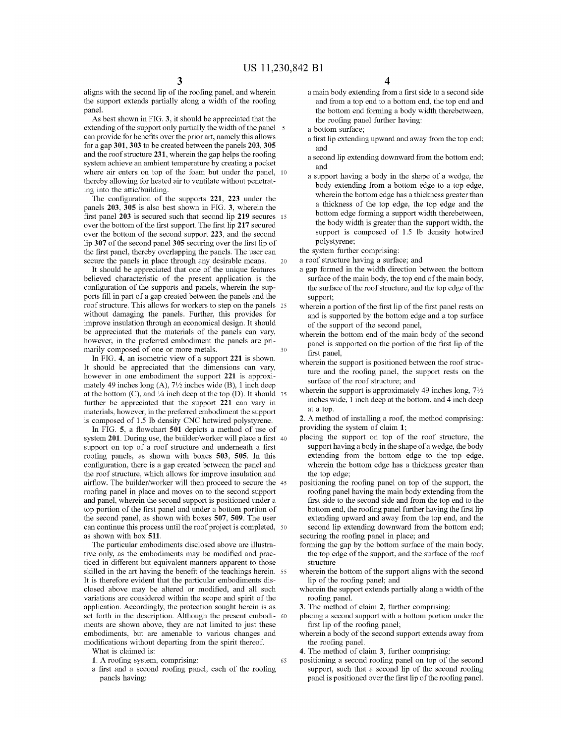aligns with the second lip of the roofing panel, and wherein the support extends partially along a width of the roofing panel.

As best shown in FIG. 3, it should be appreciated that the extending of the support only partially the width of the panel can provide for benefits over the prior art, namely this allows for a gap 301, 303 to be created between the panels 203, 305 and the roof structure 231, wherein the gap helps the roofing system achieve an ambient temperature by creating a pocket where air enters on top of the foam but under the panel, 10 thereby allowing for heated air to ventilate without penetrating into the attic/building.

The configuration of the supports 221, 223 under the panels 203, 305 is also best shown in FIG. 3, wherein the first panel 203 is secured such that second lip 219 secures 15 over the bottom of the first support. The first lip 217 secured over the bottom of the second support 223, and the second lip 307 of the second panel 305 securing over the first lip of the first panel, thereby overlapping the panels. The user can secure the panels in place through any desirable means. 20

It should be appreciated that one of the unique features believed characteristic of the present application is the configuration of the supports and panels, wherein the supports fill in part of a gap created between the panels and the roof structure. This allows for workers to step on the panels 25 without damaging the panels. Further, this provides for improve insulation through an economical design. It should be appreciated that the materials of the panels can vary, however, in the preferred embodiment the panels are primarily composed of one or more metals.  $30$ 

In FIG. 4, an isometric view of a support 221 is shown. It should be appreciated that the dimensions can vary, however in one embodiment the support 221 is approximately 49 inches long (A), 71/2 inches wide (B), 1 inch deep at the bottom  $(C)$ , and  $\frac{1}{4}$  inch deep at the top  $(D)$ . It should 35 further be appreciated that the support 221 can vary in materials, however, in the preferred embodiment the support is composed of 1.5 lb density CNC hotwired polystyrene.

In FIG. 5, a flowchart 501 depicts a method of use of system 201. During use, the builder/worker will place a first 40 support on top of a roof structure and underneath a first roofing panels, as shown with boxes 503, 505. In this configuration, there is a gap created between the panel and the roof structure, which allows for improve insulation and airflow. The builder/worker will then proceed to secure the 45 roofing panel in place and moves on to the second support and panel, wherein the second support is positioned under a top portion of the first panel and under a bottom portion of the second panel, as shown with boxes 507, 509. The user can continue this process until the roof project is completed, 50 as shown with box 511.

The particular embodiments disclosed above are illustrative only, as the embodiments may be modified and practiced in different but equivalent manners apparent to those skilled in the art having the benefit of the teachings herein. 55 It is therefore evident that the particular embodiments disclosed above may be altered or modified, and all such variations are considered within the scope and spirit of the application. Accordingly, the protection sought herein is as set forth in the description. Although the present embodi- 60 ments are shown above, they are not limited to just these embodiments, but are amenable to various changes and modifications without departing from the spirit thereof.

- What is claimed is:
- 1. A roofing system, comprising:
- a first and a second roofing panel, each of the roofing panels having:
- a main body extending from a first side to a second side and from a top end to a bottom end, the top end and the bottom end forming a body width therebetween, the roofing panel further having:
- a bottom surface;
- a first lip extending upward and away from the top end; and
- a second lip extending downward from the bottom end; and
- a support having a body in the shape of a wedge, the body extending from a bottom edge to a top edge, wherein the bottom edge has a thickness greater than a thickness of the top edge, the top edge and the bottom edge forming a support width therebetween, the body width is greater than the support width, the support is composed of 1.5 lb density hotwired polystyrene;
- the system further comprising:
- a roof structure having a surface; and
- a gap formed in the width direction between the bottom surface of the main body, the top end of the main body, the surface of the roof structure, and the top edge of the support:
- wherein a portion of the first lip of the first panel rests on and is supported by the bottom edge and a top surface of the support of the second panel,
- wherein the bottom end of the main body of the second panel is supported on the portion of the first lip of the first panel.
- wherein the support is positioned between the roof structure and the roofing panel, the support rests on the surface of the roof structure; and
- wherein the support is approximately 49 inches long,  $7\frac{1}{2}$ inches wide, 1 inch deep at the bottom, and 4 inch deep at a top.

2. A method of installing a roof, the method comprising: providing the system of claim 1;

placing the support on top of the roof structure, the support having a body in the shape of a wedge, the body extending from the bottom edge to the top edge, wherein the bottom edge has a thickness greater than the top edge:

positioning the roofing panel on top of the support, the roofing panel having the main body extending from the first side to the second side and from the top end to the bottom end, the roofing panel further having the first lip extending upward and away from the top end, and the second lip extending downward from the bottom end; securing the roofing panel in place; and

- forming the gap by the bottom surface of the main body, the top edge of the support, and the surface of the roof structure
- wherein the bottom of the support aligns with the second lip of the roofing panel; and
- wherein the support extends partially along a width of the roofing panel.

3. The method of claim 2, further comprising:

- placing a second support with a bottom portion under the first lip of the roofing panel;
- wherein a body of the second support extends away from the roofing panel.

4. The method of claim 3, further comprising:

65

positioning a second roofing panel on top of the second support, such that a second lip of the second roofing panel is positioned over the first lip of the roofing panel.